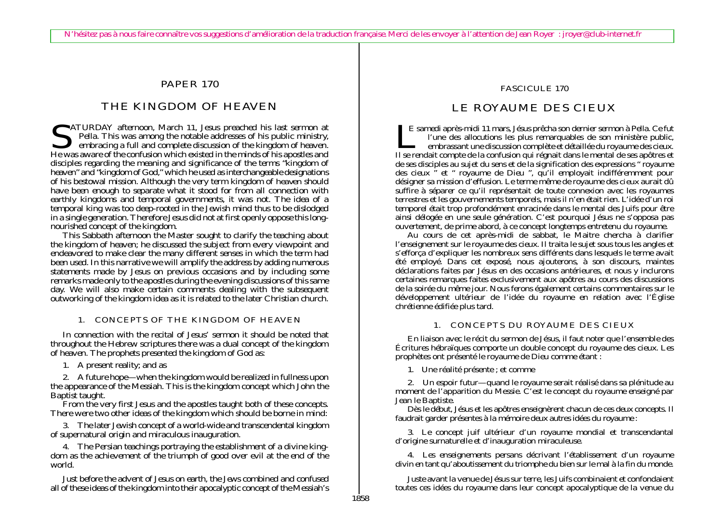# PAPER 170

# THE KINGDOM OF HEAVEN

SATURDAY afternoon, March 11, Jesus preached his last sermon at Pella. This was among the notable addresses of his public ministry, embracing a full and complete discussion of the kingdom of heaven. He was aware of the confusion which existed in the minds of his apostles and disciples regarding the meaning and significance of the terms "kingdom of heaven" and "kingdom of God," which he used as interchangeable designations of his bestowal mission. Although the very term kingdom of *heaven* should have been enough to separate what it stood for from all connection with *earthly* kingdoms and temporal governments, it was not. The idea of a temporal king was too deep-rooted in the Jewish mind thus to be dislodged in a single generation. Therefore Jesus did not at first openly oppose this longnourished concept of the kingdom.

This Sabbath afternoon the Master sought to clarify the teaching about the kingdom of heaven; he discussed the subject from every viewpoint and endeavored to make clear the many different senses in which the term had been used. In this narrative we will amplify the address by adding numerous statements made by Jesus on previous occasions and by including some remarks made only to the apostles during the evening discussions of this same day. We will also make certain comments dealing with the subsequent outworking of the kingdom idea as it is related to the later Christian church.

# 1. CONCEPTS OF THE KINGDOM OF HEAVEN

In connection with the recital of Jesus' sermon it should be noted that throughout the Hebrew scriptures there was a dual concept of the kingdom of heaven. The prophets presented the kingdom of God as:

1. A present reality; and as

2. A future hope—when the kingdom would be realized in fullness upon the appearance of the Messiah. This is the kingdom concept which John the Baptist taught.

From the very first Jesus and the apostles taught both of these concepts. There were two other ideas of the kingdom which should be borne in mind:

3. The later Jewish concept of a world-wide and transcendental kingdom of supernatural origin and miraculous inauguration.

4. The Persian teachings portraying the establishment of a divine kingdom as the achievement of the triumph of good over evil at the end of the world.

Just before the advent of Jesus on earth, the Jews combined and confused all of these ideas of the kingdom into their apocalyptic concept of the Messiah's

### FASCICULE 170

# LE ROYAUME DES CIEUX

E samedi après-midi 11 mars, Jésus prêcha son dernier sermon à Pella. Ce fut<br>
l'une des allocutions les plus remarquables de son ministère public,<br>
embrassant une discussion complète et détaillée du royaume des cieux l'une des allocutions les plus remarquables de son ministère public, embrassant une discussion complète et détaillée du royaume des cieux. Il se rendait compte de la confusion qui régnait dans le mental de ses apôtres et de ses disciples au sujet du sens et de la signification des expressions " royaume des cieux  $\phi$  et " royaume de Dieu ", qu'il employait indifféremment pour désigner sa mission d'effusion. Le terme même de royaume des *cieux* aurait dû suffire à séparer ce qu'il représentait de toute connexion avec les royaumes *terrestres* et les gouvernements temporels, mais il n'en était rien. L'idée d'un roi temporel était trop profondément enracinée dans le mental des Juifs pour être ainsi délogée en une seule génération. C'est pourquoi Jésus ne s'opposa pas ouvertement, de prime abord, à ce concept longtemps entretenu du royaume.

Au cours de cet après-midi de sabbat, le Maitre chercha à clarifier l'enseignement sur le royaume des cieux. Il traita le sujet sous tous les angles et s'efforça d'expliquer les nombreux sens différents dans lesquels le terme avait été employé. Dans cet exposé, nous ajouterons, à son discours, maintes déclarations faites par Jésus en des occasions antérieures, et nous y inclurons certaines remarques faites exclusivement aux apôtres au cours des discussions de la soirée du même jour. Nous ferons également certains commentaires sur le développement ultérieur de l'idée du royaume en relation avec l'Église chrétienne édifiée plus tard.

#### 1. CONCEPTS DU ROYAUME DES CIEUX

En liaison avec le récit du sermon de Jésus, il faut noter que l'ensemble des Écritures hébraïques comporte un double concept du royaume des cieux. Les prophètes ont présenté le royaume de Dieu comme étant :

1. Une réalité présente ; et comme

2. Un espoir futur—quand le royaume serait réalisé dans sa plénitude au moment de l'apparition du Messie. C'est le concept du royaume enseigné par Jean le Baptiste.

Dès le début, Jésus et les apôtres enseignèrent chacun de ces deux concepts. Il faudrait garder présentes à la mémoire deux autres idées du royaume :

3. Le concept juif ultérieur d'un royaume mondial et transcendantal d'origine surnaturelle et d'inauguration miraculeuse.

4. Les enseignements persans décrivant l'établissement d'un royaume divin en tant qu'aboutissement du triomphe du bien sur le mal à la fin du monde.

Juste avant la venue de Jésus sur terre, les Juifs combinaient et confondaient toutes ces idées du royaume dans leur concept apocalyptique de la venue du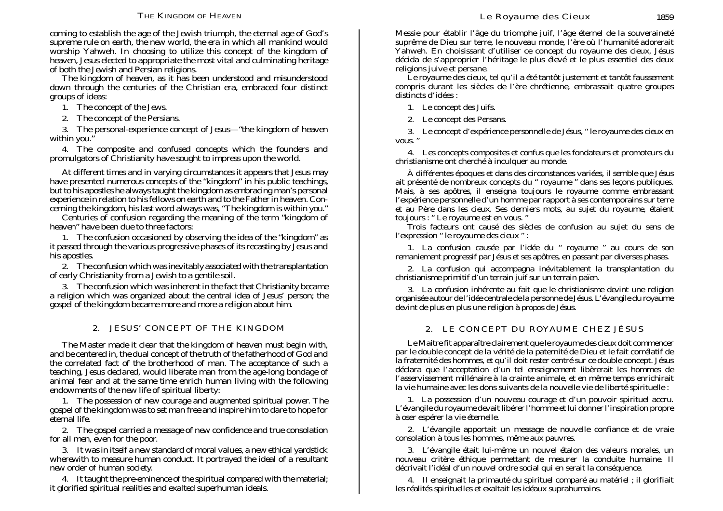coming to establish the age of the Jewish triumph, the eternal age of God's supreme rule on earth, the new world, the era in which all mankind would worship Yahweh. In choosing to utilize this concept of the kingdom of heaven, Jesus elected to appropriate the most vital and culminating heritage of both the Jewish and Persian religions.

The kingdom of heaven, as it has been understood and misunderstood down through the centuries of the Christian era, embraced four distinct groups of ideas:

1. The concept of the Jews.

2. The concept of the Persians.

3. The personal-experience concept of Jesus—"the kingdom of heaven within you.'

4. The composite and confused concepts which the founders and promulgators of Christianity have sought to impress upon the world.

At different times and in varying circumstances it appears that Jesus may have presented numerous concepts of the "kingdom" in his public teachings, but to his apostles he always taught the kingdom as embracing man's personal experience in relation to his fellows on earth and to the Father in heaven. Concerning the kingdom, his last word always was, "The kingdom is within you."

Centuries of confusion regarding the meaning of the term "kingdom of heaven" have been due to three factors:

1. The confusion occasioned by observing the idea of the "kingdom" as it passed through the various progressive phases of its recasting by Jesus and his apostles.

2. The confusion which was inevitably associated with the transplantation of early Christianity from a Jewish to a gentile soil.

3. The confusion which was inherent in the fact that Christianity became a religion which was organized about the central idea of Jesus' person; the gospel of the kingdom became more and more a religion *about* him.

#### 2. JESUS' CONCEPT OF THE KINGDOM

The Master made it clear that the kingdom of heaven must begin with, and be centered in, the dual concept of the truth of the fatherhood of God and the correlated fact of the brotherhood of man. The acceptance of such a teaching, Jesus declared, would liberate man from the age-long bondage of animal fear and at the same time enrich human living with the following endowments of the new life of spiritual liberty:

1. The possession of new courage and augmented spiritual power. The gospel of the kingdom was to set man free and inspire him to dare to hope for eternal life.

2. The gospel carried a message of new confidence and true consolation for all men, even for the poor.

3. It was in itself a new standard of moral values, a new ethical yardstick wherewith to measure human conduct. It portrayed the ideal of a resultant new order of human society.

4. It taught the pre-eminence of the spiritual compared with the material; it glorified spiritual realities and exalted superhuman ideals.

Messie pour établir l'âge du triomphe juif, l'âge éternel de la souveraineté suprême de Dieu sur terre, le nouveau monde, l'ère où l'humanité adorerait Yahweh. En choisissant d'utiliser ce concept du royaume des cieux, Jésus décida de s'approprier l'héritage le plus élevé et le plus essentiel des deux religions juive et persane.

Le royaume des cieux, tel qu'il a été tantôt justement et tantôt faussement compris durant les siècles de l'ère chrétienne, embrassait quatre groupes distincts d'idées :

1. Le concept des Juifs.

2. Le concept des Persans.

3. Le concept d'expérience personnelle de Jésus, " le royaume des cieux en vous.

4. Les concepts composites et confus que les fondateurs et promoteurs du christianisme ont cherché à inculquer au monde.

À différentes époques et dans des circonstances variées, il semble que Jésus ait présenté de nombreux concepts du " royaume " dans ses leçons publiques. Mais, à ses apôtres, il enseigna toujours le royaume comme embrassant l'expérience personnelle d'un homme par rapport à ses contemporains sur terre et au Père dans les cieux. Ses derniers mots, au sujet du royaume, étaient toujours : " Le royaume est en vous. "

Trois facteurs ont causé des siècles de confusion au sujet du sens de l'expression " le royaume des cieux " :

1. La confusion causée par l'idée du " royaume " au cours de son remaniement progressif par Jésus et ses apôtres, en passant par diverses phases.

2. La confusion qui accompagna inévitablement la transplantation du christianisme primitif d'un terrain juif sur un terrain païen.

3. La confusion inhérente au fait que le christianisme devint une religion organisée autour de l'idée centrale de la personne de Jésus. L'évangile du royaume devint de plus en plus une religion à *propos* de Jésus.

#### 2. LE CONCEPT DU ROYAUME CHEZ JÉSUS

Le Maitre fit apparaître clairement que le royaume des cieux doit commencer par le double concept de la vérité de la paternité de Dieu et le fait corrélatif de la fraternité des hommes, et qu'il doit rester centré sur ce double concept. Jésus déclara que l'acceptation d'un tel enseignement libèrerait les hommes de l'asservissement millénaire à la crainte animale, et en même temps enrichirait la vie humaine avec les dons suivants de la nouvelle vie de liberté spirituelle :

1. La possession d'un nouveau courage et d'un pouvoir spirituel accru. L'évangile du royaume devait libérer l'homme et lui donner l'inspiration propre à oser espérer la vie éternelle.

2. L'évangile apportait un message de nouvelle confiance et de vraie consolation à tous les hommes, même aux pauvres.

3. L'évangile était lui-même un nouvel étalon des valeurs morales, un nouveau critère éthique permettant de mesurer la conduite humaine. Il décrivait l'idéal d'un nouvel ordre social qui en serait la conséquence.

4. Il enseignait la primauté du spirituel comparé au matériel ; il glorifiait les réalités spirituelles et exaltait les idéaux suprahumains.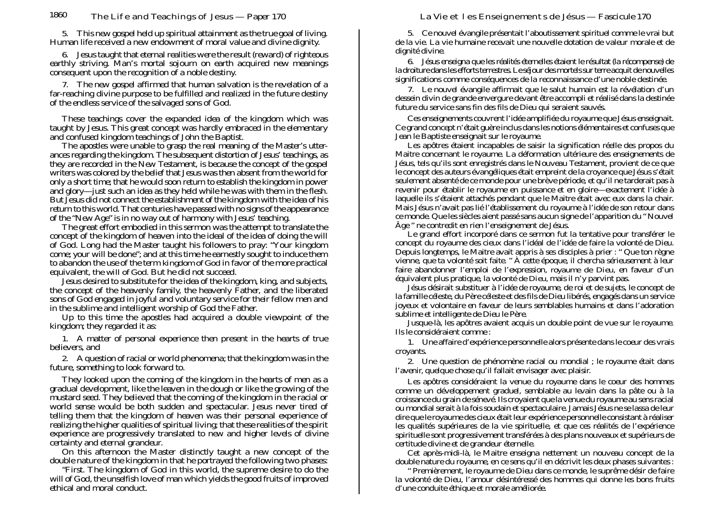5. This new gospel held up spiritual attainment as the true goal of living. Human life received a new endowment of moral value and divine dignity.

6. Jesus taught that eternal realities were the result (reward) of righteous earthly striving. Man's mortal sojourn on earth acquired new meanings consequent upon the recognition of a noble destiny.

7. The new gospel affirmed that human salvation is the revelation of a far-reaching divine purpose to be fulfilled and realized in the future destiny of the endless service of the salvaged sons of God.

These teachings cover the expanded idea of the kingdom which was taught by Jesus. This great concept was hardly embraced in the elementary and confused kingdom teachings of John the Baptist.

The apostles were unable to grasp the real meaning of the Master's utterances regarding the kingdom. The subsequent distortion of Jesus' teachings, as they are recorded in the New Testament, is because the concept of the gospel writers was colored by the belief that Jesus was then absent from the world for only a short time; that he would soon return to establish the kingdom in power and glory—just such an idea as they held while he was with them in the flesh. But Jesus did not connect the establishment of the kingdom with the idea of his return to this world. That centuries have passed with no signs of the appearance of the "New Age" is in no way out of harmony with Jesus' teaching.

The great effort embodied in this sermon was the attempt to translate the concept of the kingdom of heaven into the ideal of the idea of doing the will of God. Long had the Master taught his followers to pray: "Your kingdom come; your will be done"; and at this time he earnestly sought to induce them to abandon the use of the term *kingdom of God* in favor of the more practical equivalent, *the will of God.* But he did not succeed.

Jesus desired to substitute for the idea of the kingdom, king, and subjects, the concept of the heavenly family, the heavenly Father, and the liberated sons of God engaged in joyful and voluntary service for their fellow men and in the sublime and intelligent worship of God the Father.

Up to this time the apostles had acquired a double viewpoint of the kingdom; they regarded it as:

1. A matter of personal experience then present in the hearts of true believers, and

2. A question of racial or world phenomena; that the kingdom was in the future, something to look forward to.

They looked upon the coming of the kingdom in the hearts of men as a gradual development, like the leaven in the dough or like the growing of the mustard seed. They believed that the coming of the kingdom in the racial or world sense would be both sudden and spectacular. Jesus never tired of telling them that the kingdom of heaven was their personal experience of realizing the higher qualities of spiritual living; that these realities of the spirit experience are progressively translated to new and higher levels of divine certainty and eternal grandeur.

On this afternoon the Master distinctly taught a new concept of the double nature of the kingdom in that he portrayed the following two phases:

"First. The kingdom of God in this world, the supreme desire to do the will of God, the unselfish love of man which yields the good fruits of improved ethical and moral conduct.

5. Ce nouvel évangile présentait l'aboutissement spirituel comme le vrai but de la vie. La vie humaine recevait une nouvelle dotation de valeur morale et de dignité divine.

6. Jésus enseigna que les réalités éternelles étaient le résultat (la récompense) de la droiture dans les efforts terrestres. Le séjour des mortels sur terre acquit de nouvelles significations comme conséquences de la reconnaissance d'une noble destinée.

7. Le nouvel évangile affirmait que le salut humain est la révélation d'un dessein divin de grande envergure devant être accompli et réalisé dans la destinée future du service sans fin des fils de Dieu qui seraient sauvés.

Ces enseignements couvrent l'idée amplifiée du royaume que Jésus enseignait. Ce grand concept n'était guère inclus dans les notions élémentaires et confuses que Jean le Baptiste enseignait sur le royaume.

Les apôtres étaient incapables de saisir la signification réelle des propos du Maitre concernant le royaume. La déformation ultérieure des enseignements de Jésus, tels qu'ils sont enregistrés dans le Nouveau Testament, provient de ce que le concept des auteurs évangéliques était empreint de la croyance que Jésus s'était seulement absenté de ce monde pour une brève période, et qu'il ne tarderait pas à revenir pour établir le royaume en puissance et en gloire—exactement l'idée à laquelle ils s'étaient attachés pendant que le Maitre était avec eux dans la chair. Mais Jésus n'avait pas lié l'établissement du royaume à l'idée de son retour dans ce monde. Que les siècles aient passé sans aucun signe de l'apparition du " Nouvel Âge " ne contredit en rien l'enseignement de Jésus.

Le grand effort incorporé dans ce sermon fut la tentative pour transférer le concept du royaume des cieux dans l'idéal de l'idée de faire la volonté de Dieu. Depuis longtemps, le Maitre avait appris à ses disciples à prier : " Que ton règne vienne, que ta volonté soit faite. " À cette époque, il chercha sérieusement à leur faire abandonner l'emploi de l'expression, *royaume de Dieu,* en faveur d'un équivalent plus pratique, la *volonté de Dieu,* mais il n'y parvint pas.

Jésus désirait substituer à l'idée de royaume, de roi et de sujets, le concept de la famille céleste, du Père céleste et des fils de Dieu libérés, engagés dans un service joyeux et volontaire en faveur de leurs semblables humains et dans l'adoration sublime et intelligente de Dieu le Père.

Jusque-là, les apôtres avaient acquis un double point de vue sur le royaume. Ils le considéraient comme :

1. Une affaire d'expérience personnelle alors présente dans le coeur des vrais croyants.

2. Une question de phénomène racial ou mondial ; le royaume était dans l'avenir, quelque chose qu'il fallait envisager avec plaisir.

Les apôtres considéraient la venue du royaume dans le coeur des hommes comme un développement graduel, semblable au levain dans la pâte ou à la croissance du grain de sénevé. Ils croyaient que la venue du royaume au sens racial ou mondial serait à la fois soudain et spectaculaire. Jamais Jésus ne se lassa de leur dire que le royaume des cieux était leur expérience personnelle consistant à réaliser les qualités supérieures de la vie spirituelle, et que ces réalités de l'expérience spirituelle sont progressivement transférées à des plans nouveaux et supérieurs de certitude divine et de grandeur éternelle.

Cet après-midi-là, le Maitre enseigna nettement un nouveau concept de la double nature du royaume, en ce sens qu'il en décrivit les deux phases suivantes :

" Premièrement, le royaume de Dieu dans ce monde, le suprême désir de faire la volonté de Dieu, l'amour désintéressé des hommes qui donne les bons fruits d'une conduite éthique et morale améliorée.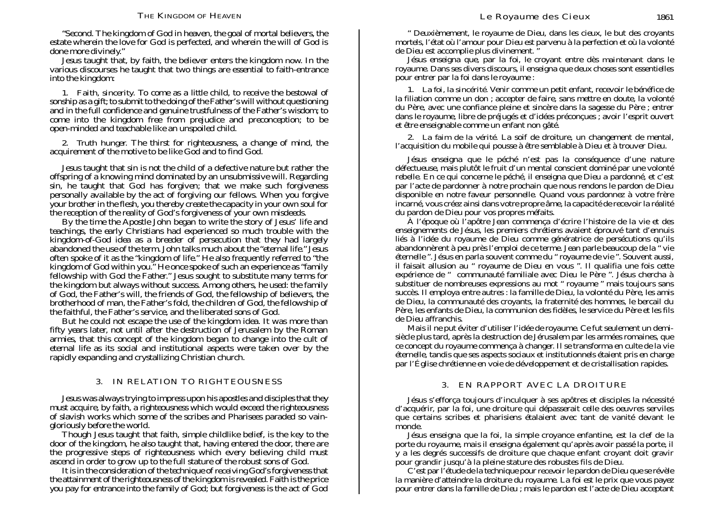"Second. The kingdom of God in heaven, the goal of mortal believers, the estate wherein the love for God is perfected, and wherein the will of God is done more divinely."

Jesus taught that, by faith, the believer enters the kingdom *now.* In the various discourses he taught that two things are essential to faith-entrance into the kingdom:

1. *Faith, sincerity.* To come as a little child, to receive the bestowal of sonship as a gift; to submit to the doing of the Father's will without questioning and in the full confidence and genuine trustfulness of the Father's wisdom; to come into the kingdom free from prejudice and preconception; to be open-minded and teachable like an unspoiled child.

2. *Truth hunger.* The thirst for righteousness, a change of mind, the acquirement of the motive to be like God and to find God.

Jesus taught that sin is not the child of a defective nature but rather the offspring of a knowing mind dominated by an unsubmissive will. Regarding sin, he taught that God *has* forgiven; that we make such forgiveness personally available by the act of forgiving our fellows. When you forgive your brother in the flesh, you thereby create the capacity in your own soul for the reception of the reality of God's forgiveness of your own misdeeds.

By the time the Apostle John began to write the story of Jesus' life and teachings, the early Christians had experienced so much trouble with the kingdom-of-God idea as a breeder of persecution that they had largely abandoned the use of the term. John talks much about the "eternal life." Jesus often spoke of it as the "kingdom of life." He also frequently referred to "the kingdom of God within you." He once spoke of such an experience as "family fellowship with God the Father." Jesus sought to substitute many terms for the kingdom but always without success. Among others, he used: the family of God, the Father's will, the friends of God, the fellowship of believers, the brotherhood of man, the Father's fold, the children of God, the fellowship of the faithful, the Father's service, and the liberated sons of God.

But he could not escape the use of the kingdom idea. It was more than fifty years later, not until after the destruction of Jerusalem by the Roman armies, that this concept of the kingdom began to change into the cult of eternal life as its social and institutional aspects were taken over by the rapidly expanding and crystallizing Christian church.

#### 3. IN RELATION TO RIGHTEOUSNESS

Jesus was always trying to impress upon his apostles and disciples that they must acquire, by faith, a righteousness which would exceed the righteousness of slavish works which some of the scribes and Pharisees paraded so vaingloriously before the world.

Though Jesus taught that faith, simple childlike belief, is the key to the door of the kingdom, he also taught that, having entered the door, there are the progressive steps of righteousness which every believing child must ascend in order to grow up to the full stature of the robust sons of God.

It is in the consideration of the technique of *receiving* God's forgiveness that the attainment of the righteousness of the kingdom is revealed. Faith is the price you pay for entrance into the family of God; but forgiveness is the act of God

" Deuxièmement, le royaume de Dieu, dans les cieux, le but des croyants mortels, l'état où l'amour pour Dieu est parvenu à la perfection et où la volonté de Dieu est accomplie plus divinement.

Jésus enseigna que, par la foi, le croyant entre dès *maintenant* dans le royaume. Dans ses divers discours, il enseigna que deux choses sont essentielles pour entrer par la foi dans le royaume :

1. *La foi, la sincérité.* Venir comme un petit enfant, recevoir le bénéfice de la filiation comme un don ; accepter de faire, sans mettre en doute, la volonté du Père, avec une confiance pleine et sincère dans la sagesse du Père ; entrer dans le royaume, libre de préjugés et d'idées préconçues ; avoir l'esprit ouvert et être enseignable comme un enfant non gâté.

2. *La faim de la vérité.* La soif de droiture, un changement de mental, l'acquisition du mobile qui pousse à être semblable à Dieu et à trouver Dieu.

Jésus enseigna que le péché n'est pas la conséquence d'une nature défectueuse, mais plutôt le fruit d'un mental conscient dominé par une volonté rebelle. En ce qui concerne le péché, il enseigna que Dieu *<sup>a</sup>*pardonné, et c'est par l'acte de pardonner à notre prochain que nous rendons le pardon de Dieu disponible en notre faveur personnelle. Quand vous pardonnez à votre frère incarné, vous créez ainsi dans votre propre âme, la capacité de recevoir la réalité

du pardon de Dieu pour vos propres méfaits. À l'époque où l'apôtre Jean commença d'écrire l'histoire de la vie et des enseignements de Jésus, les premiers chrétiens avaient éprouvé tant d'ennuis liés à l'idée du royaume de Dieu comme génératrice de persécutions qu'ils abandonnèrent à peu près l'emploi de ce terme. Jean parle beaucoup de la " vie éternelle ". Jésus en parla souvent comme du " royaume de vie ". Souvent aussi, il faisait allusion au " royaume de Dieu en vous ". Il qualifia une fois cette expérience de " communauté familiale avec Dieu le Père ". Jésus chercha à substituer de nombreuses expressions au mot " royaume " mais toujours sans succès. Il employa entre autres : la famille de Dieu, la volonté du Père, les amis de Dieu, la communauté des croyants, la fraternité des hommes, le bercail du Père, les enfants de Dieu, la communion des fidèles, le service du Père et les fils de Dieu affranchis.

Mais il ne put éviter d'utiliser l'idée de royaume. Ce fut seulement un demisiècle plus tard, après la destruction de Jérusalem par les armées romaines, que ce concept du royaume commença à changer. Il se transforma en culte de la vie éternelle, tandis que ses aspects sociaux et institutionnels étaient pris en charge par l'Église chrétienne en voie de développement et de cristallisation rapides.

#### 3. EN RAPPORT AVEC LA DROITURE

Jésus s'efforça toujours d'inculquer à ses apôtres et disciples la nécessité d'acquérir, par la foi, une droiture qui dépasserait celle des oeuvres serviles que certains scribes et pharisiens étalaient avec tant de vanité devant le monde.

Jésus enseigna que la foi, la simple croyance enfantine, est la clef de la porte du royaume, mais il enseigna également qu'après avoir passé la porte, il y a les degrés successifs de droiture que chaque enfant croyant doit gravir pour grandir jusqu'à la pleine stature des robustes fils de Dieu.

C'est par l'étude de la technique pour *recevoir*le pardon de Dieu que se révèle la manière d'atteindre la droiture du royaume. La foi est le prix que vous payez pour entrer dans la famille de Dieu ; mais le pardon est l'acte de Dieu acceptant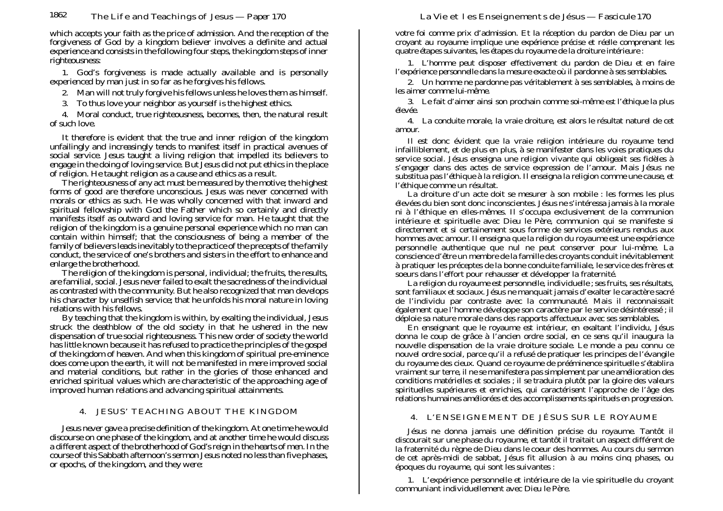which accepts your faith as the price of admission. And the reception of the forgiveness of God by a kingdom believer involves a definite and actual experience and consists in the following four steps, the kingdom steps of inner righteousness:

1. God's forgiveness is made actually available and is personally experienced by man just in so far as he forgives his fellows.

2. Man will not truly forgive his fellows unless he loves them as himself.

3. To thus love your neighbor as yourself *is* the highest ethics.

4. Moral conduct, true righteousness, becomes, then, the natural result of such love.

It therefore is evident that the true and inner religion of the kingdom unfailingly and increasingly tends to manifest itself in practical avenues of social service. Jesus taught a living religion that impelled its believers to engage in the doing of loving service. But Jesus did not put ethics in the place of religion. He taught religion as a cause and ethics as a result.

The righteousness of any act must be measured by the motive; the highest forms of good are therefore unconscious. Jesus was never concerned with morals or ethics as such. He was wholly concerned with that inward and spiritual fellowship with God the Father which so certainly and directly manifests itself as outward and loving service for man. He taught that the religion of the kingdom is a genuine personal experience which no man can contain within himself; that the consciousness of being a member of the family of believers leads inevitably to the practice of the precepts of the family conduct, the service of one's brothers and sisters in the effort to enhance and enlarge the brotherhood.

The religion of the kingdom is personal, individual; the fruits, the results, are familial, social. Jesus never failed to exalt the sacredness of the individual as contrasted with the community. But he also recognized that man develops his character by unselfish service; that he unfolds his moral nature in loving relations with his fellows.

By teaching that the kingdom is within, by exalting the individual, Jesus struck the deathblow of the old society in that he ushered in the new dispensation of true social righteousness. This new order of society the world has little known because it has refused to practice the principles of the gospel of the kingdom of heaven. And when this kingdom of spiritual pre-eminence does come upon the earth, it will not be manifested in mere improved social and material conditions, but rather in the glories of those enhanced and enriched spiritual values which are characteristic of the approaching age of improved human relations and advancing spiritual attainments.

# 4. JESUS' TEACHING ABOUT THE KINGDOM

Jesus never gave a precise definition of the kingdom. At one time he would discourse on one phase of the kingdom, and at another time he would discuss a different aspect of the brotherhood of God's reign in the hearts of men. In the course of this Sabbath afternoon's sermon Jesus noted no less than five phases, or epochs, of the kingdom, and they were:

votre foi comme prix d'admission. Et la réception du pardon de Dieu par un croyant au royaume implique une expérience précise et réelle comprenant les quatre étapes suivantes, les étapes du royaume de la droiture intérieure :

1. L'homme peut disposer effectivement du pardon de Dieu et en faire l'expérience personnelle dans la mesure exacte où il pardonne à ses semblables.

2. Un homme ne pardonne pas véritablement à ses semblables, à moins de les aimer comme lui-même.

3. Le fait d'aimer ainsi son prochain comme soi-même *est* l'éthique la plus élevée.

4. La conduite morale, la vraie droiture, est alors le résultat naturel de cet amour.

Il est donc évident que la vraie religion intérieure du royaume tend infailliblement, et de plus en plus, à se manifester dans les voies pratiques du service social. Jésus enseigna une religion vivante qui obligeait ses fidèles à s'engager dans des actes de service expression de l'amour. Mais Jésus ne substitua pas l'éthique à la religion. Il enseigna la religion comme une cause, et l'éthique comme un résultat.

La droiture d'un acte doit se mesurer à son mobile : les formes les plus élevées du bien sont donc inconscientes. Jésus ne s'intéressa jamais à la morale ni à l'éthique en elles-mêmes. Il s'occupa exclusivement de la communion intérieure et spirituelle avec Dieu le Père, communion qui se manifeste si directement et si certainement sous forme de services extérieurs rendus aux hommes avec amour. Il enseigna que la religion du royaume est une expérience personnelle authentique que nul ne peut conserver pour lui-même. La conscience d'être un membre de la famille des croyants conduit inévitablement à pratiquer les préceptes de la bonne conduite familiale, le service des frères et soeurs dans l'effort pour rehausser et développer la fraternité.

La religion du royaume est personnelle, individuelle ; ses fruits, ses résultats, sont familiaux et sociaux. Jésus ne manquait jamais d'exalter le caractère sacré de l'individu par contraste avec la communauté. Mais il reconnaissait également que l'homme développe son caractère par le service désintéressé ; il déploie sa nature morale dans des rapports affectueux avec ses semblables.

En enseignant que le royaume est intérieur, en exaltant l'individu, Jésus donna le coup de grâce à l'ancien ordre social, en ce sens qu'il inaugura la nouvelle dispensation de la vraie droiture sociale. Le monde a peu connu ce nouvel ordre social, parce qu'il a refusé de pratiquer les principes de l'évangile du royaume des cieux. Quand ce royaume de prééminence spirituelle s'établira vraiment sur terre, il ne se manifestera pas simplement par une amélioration des conditions matérielles et sociales ; il se traduira plutôt par la gloire des valeurs spirituelles supérieures et enrichies, qui caractérisent l'approche de l'âge des relations humaines améliorées et des accomplissements spirituels en progression.

#### 4. L'ENSEIGNEMENT DE JÉSUS SUR LE ROYAUME

Jésus ne donna jamais une définition précise du royaume. Tantôt il discourait sur une phase du royaume, et tantôt il traitait un aspect différent de la fraternité du règne de Dieu dans le coeur des hommes. Au cours du sermon de cet après-midi de sabbat, Jésus fit allusion à au moins cinq phases, ou époques du royaume, qui sont les suivantes :

1. L'expérience personnelle et intérieure de la vie spirituelle du croyant communiant individuellement avec Dieu le Père.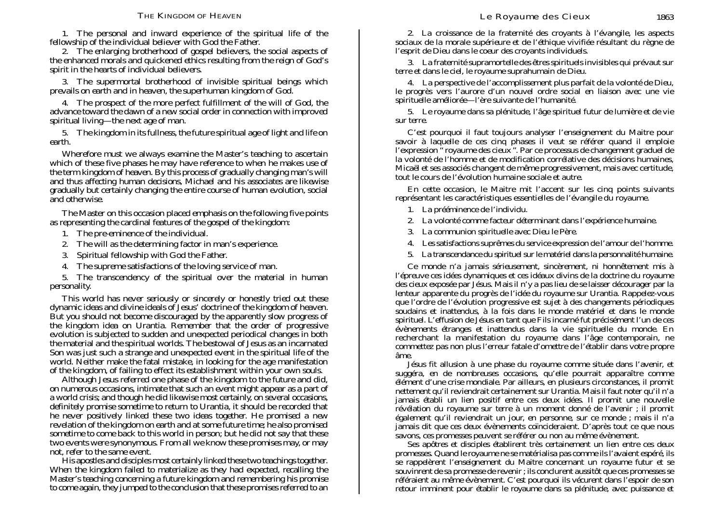1. The personal and inward experience of the spiritual life of the fellowship of the individual believer with God the Father.

2. The enlarging brotherhood of gospel believers, the social aspects of the enhanced morals and quickened ethics resulting from the reign of God's spirit in the hearts of individual believers.

3. The supermortal brotherhood of invisible spiritual beings which prevails on earth and in heaven, the superhuman kingdom of God.

4. The prospect of the more perfect fulfillment of the will of God, the advance toward the dawn of a new social order in connection with improved spiritual living—the next age of man.

5. The kingdom in its fullness, the future spiritual age of light and life on earth.

Wherefore must we always examine the Master's teaching to ascertain which of these five phases he may have reference to when he makes use of the term kingdom of heaven. By this process of gradually changing man's will and thus affecting human decisions, Michael and his associates are likewise gradually but certainly changing the entire course of human evolution, social and otherwise.

The Master on this occasion placed emphasis on the following five points as representing the cardinal features of the gospel of the kingdom:

- 1. The pre-eminence of the individual.
- 2. The will as the determining factor in man's experience.
- 3. Spiritual fellowship with God the Father.
- 4. The supreme satisfactions of the loving service of man.

5. The transcendency of the spiritual over the material in human personality.

This world has never seriously or sincerely or honestly tried out these dynamic ideas and divine ideals of Jesus' doctrine of the kingdom of heaven. But you should not become discouraged by the apparently slow progress of the kingdom idea on Urantia. Remember that the order of progressive evolution is subjected to sudden and unexpected periodical changes in both the material and the spiritual worlds. The bestowal of Jesus as an incarnated Son was just such a strange and unexpected event in the spiritual life of the world. Neither make the fatal mistake, in looking for the age manifestation of the kingdom, of failing to effect its establishment within your own souls.

Although Jesus referred one phase of the kingdom to the future and did, on numerous occasions, intimate that such an event might appear as a part of a world crisis; and though he did likewise most certainly, on several occasions, definitely promise sometime to return to Urantia, it should be recorded that he never positively linked these two ideas together. He promised a new revelation of the kingdom on earth and at some future time; he also promised sometime to come back to this world in person; but he did not say that these two events were synonymous. From all we know these promises may, or may not, refer to the same event.

His apostles and disciples most certainly linked these two teachings together. When the kingdom failed to materialize as they had expected, recalling the Master's teaching concerning a future kingdom and remembering his promise to come again, they jumped to the conclusion that these promises referred to an

2. La croissance de la fraternité des croyants à l'évangile, les aspects sociaux de la morale supérieure et de l'éthique vivifiée résultant du règne de l'esprit de Dieu dans le coeur des croyants individuels.

3. La fraternité supramortelle des êtres spirituels invisibles qui prévaut sur terre et dans le ciel, le royaume suprahumain de Dieu.

4. La perspective de l'accomplissement plus parfait de la volonté de Dieu, le progrès vers l'aurore d'un nouvel ordre social en liaison avec une vie spirituelle améliorée—l'ère suivante de l'humanité.

5. Le royaume dans sa plénitude, l'âge spirituel futur de lumière et de vie sur terre.

C'est pourquoi il faut toujours analyser l'enseignement du Maitre pour savoir à laquelle de ces cinq phases il veut se référer quand il emploie l'expression " royaume des cieux ". Par ce processus de changement graduel de la volonté de l'homme et de modification corrélative des décisions humaines, Micaël et ses associés changent de même progressivement, mais avec certitude, tout le cours de l'évolution humaine sociale et autre.

En cette occasion, le Maitre mit l'accent sur les cinq points suivants représentant les caractéristiques essentielles de l'évangile du royaume.

- 1. La prééminence de l'individu.
- 2. La volonté comme facteur déterminant dans l'expérience humaine.
- 3. La communion spirituelle avec Dieu le Père.
- 4. Les satisfactions suprêmes du service expression de l'amour de l'homme.
- 5. La transcendance du spirituel sur le matériel dans la personnalité humaine.

Ce monde n'a jamais sérieusement, sincèrement, ni honnêtement mis à l'épreuve ces idées dynamiques et ces idéaux divins de la doctrine du royaume des cieux exposée par Jésus. Mais il n'y a pas lieu de se laisser décourager par la lenteur apparente du progrès de l'idée du royaume sur Urantia. Rappelez-vous que l'ordre de l'évolution progressive est sujet à des changements périodiques soudains et inattendus, à la fois dans le monde matériel et dans le monde spirituel. L'effusion de Jésus en tant que Fils incarné fut précisément l'un de ces évènements étranges et inattendus dans la vie spirituelle du monde. En recherchant la manifestation du royaume dans l'âge contemporain, ne commettez pas non plus l'erreur fatale d'omettre de l'établir dans votre propre âme.

Jésus fit allusion à une phase du royaume comme située dans l'avenir, et suggéra, en de nombreuses occasions, qu'elle pourrait apparaître comme élément d'une crise mondiale. Par ailleurs, en plusieurs circonstances, il promit nettement qu'il reviendrait certainement sur Urantia. Mais il faut noter qu'il n'a jamais établi un lien positif entre ces deux idées. Il promit une nouvelle révélation du royaume sur terre à un moment donné de l'avenir ; il promit également qu'il reviendrait un jour, en personne, sur ce monde ; mais il n'a jamais dit que ces deux évènements coïncideraient. D'après tout ce que nous savons, ces promesses peuvent se référer ou non au même évènement.

Ses apôtres et disciples établirent très certainement un lien entre ces deux promesses. Quand le royaume ne se matérialisa pas comme ils l'avaient espéré, ils se rappelèrent l'enseignement du Maitre concernant un royaume futur et se souvinrent de sa promesse de revenir ; ils conclurent aussitôt que ces promesses se référaient au même évènement. C'est pourquoi ils vécurent dans l'espoir de son retour imminent pour établir le royaume dans sa plénitude, avec puissance et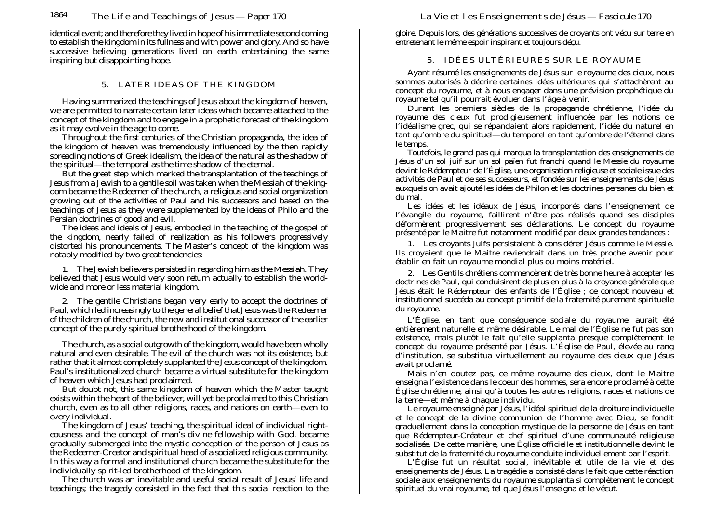identical event; and therefore they lived in hope of his immediate second coming to establish the kingdom in its fullness and with power and glory. And so have successive believing generations lived on earth entertaining the same inspiring but disappointing hope.

#### 5. LATER IDEAS OF THE KINGDOM

Having summarized the teachings of Jesus about the kingdom of heaven, we are permitted to narrate certain later ideas which became attached to the concept of the kingdom and to engage in a prophetic forecast of the kingdom as it may evolve in the age to come.

Throughout the first centuries of the Christian propaganda, the idea of the kingdom of heaven was tremendously influenced by the then rapidly spreading notions of Greek idealism, the idea of the natural as the shadow of the spiritual—the temporal as the time shadow of the eternal.

But the great step which marked the transplantation of the teachings of Jesus from a Jewish to a gentile soil was taken when the Messiah of the kingdom became the Redeemer of the church, a religious and social organization growing out of the activities of Paul and his successors and based on the teachings of Jesus as they were supplemented by the ideas of Philo and the Persian doctrines of good and evil.

The ideas and ideals of Jesus, embodied in the teaching of the gospel of the kingdom, nearly failed of realization as his followers progressively distorted his pronouncements. The Master's concept of the kingdom was notably modified by two great tendencies:

1. The Jewish believers persisted in regarding him as the *Messiah.* They believed that Jesus would very soon return actually to establish the worldwide and more or less material kingdom.

2. The gentile Christians began very early to accept the doctrines of Paul, which led increasingly to the general belief that Jesus was the *Redeemer* of the children of the church, the new and institutional successor of the earlier concept of the purely spiritual brotherhood of the kingdom.

The church, as a social outgrowth of the kingdom, would have been wholly natural and even desirable. The evil of the church was not its existence, but rather that it almost completely supplanted the Jesus concept of the kingdom. Paul's institutionalized church became a virtual substitute for the kingdom of heaven which Jesus had proclaimed.

But doubt not, this same kingdom of heaven which the Master taught exists within the heart of the believer, will yet be proclaimed to this Christian church, even as to all other religions, races, and nations on earth—even to every individual.

The kingdom of Jesus' teaching, the spiritual ideal of individual righteousness and the concept of man's divine fellowship with God, became gradually submerged into the mystic conception of the person of Jesus as the Redeemer-Creator and spiritual head of a socialized religious community. In this way a formal and institutional church became the substitute for the individually spirit-led brotherhood of the kingdom.

The church was an inevitable and useful *social* result of Jesus' life and teachings; the tragedy consisted in the fact that this social reaction to the

gloire. Depuis lors, des générations successives de croyants ont vécu sur terre en entretenant le même espoir inspirant et toujours déçu.

### 5. IDÉES ULTÉRIEURES SUR LE ROYAUME

Ayant résumé les enseignements de Jésus sur le royaume des cieux, nous sommes autorisés à décrire certaines idées ultérieures qui s'attachèrent au concept du royaume, et à nous engager dans une prévision prophétique du royaume tel qu'il pourrait évoluer dans l'âge à venir.

Durant les premiers siècles de la propagande chrétienne, l'idée du royaume des cieux fut prodigieusement influencée par les notions de l'idéalisme grec, qui se répandaient alors rapidement, l'idée du naturel en tant qu'ombre du spirituel—du temporel en tant qu'ombre de l'éternel dans le temps.

Toutefois, le grand pas qui marqua la transplantation des enseignements de devint le Rédempteur de l'Église, une organisation religieuse et sociale issue des activités de Paul et de ses successeurs, et fondée sur les enseignements de Jésus auxquels on avait ajouté les idées de Philon et les doctrines persanes du bien et du mal.

Les idées et les idéaux de Jésus, incorporés dans l'enseignement de l'évangile du royaume, faillirent n'être pas réalisés quand ses disciples déformèrent progressivement ses déclarations. Le concept du royaume présenté par le Maitre fut notamment modifié par deux grandes tendances :

1. Les croyants juifs persistaient à considérer Jésus comme *le Messie*. Ils croyaient que le Maitre reviendrait dans un très proche avenir pour établir en fait un royaume mondial plus ou moins matériel.

2. Les Gentils chrétiens commencèrent de très bonne heure à accepter les doctrines de Paul, qui conduisirent de plus en plus à la croyance générale que Jésus était le *Rédempteur* des enfants de l'Église ; ce concept nouveau et institutionnel succéda au concept primitif de la fraternité purement spirituelle du royaume.

L'Église, en tant que conséquence sociale du royaume, aurait été entièrement naturelle et même désirable. Le mal de l'Église ne fut pas son existence, mais plutôt le fait qu'elle supplanta presque complètement le concept du royaume présenté par Jésus. L'Église de Paul, élevée au rang d'institution, se substitua virtuellement au royaume des cieux que Jésus avait proclamé.

Mais n'en doutez pas, ce même royaume des cieux, dont le Maitre enseigna l'existence dans le coeur des hommes, sera encore proclamé à cette Église chrétienne, ainsi qu'à toutes les autres religions, races et nations de la terre—et même à chaque individu.

Le royaume enseigné par Jésus, l'idéal spirituel de la droiture individuelle et le concept de la divine communion de l'homme avec Dieu, se fondit graduellement dans la conception mystique de la personne de Jésus en tant que Rédempteur-Créateur et chef spirituel d'une communauté religieuse socialisée. De cette manière, une Église officielle et institutionnelle devint le

substitut de la fraternité du royaume conduite individuellement par l'esprit. L'Église fut un résultat *social,* inévitable et utile de la vie et des enseignements de Jésus. La tragédie a consisté dans le fait que cette réaction sociale aux enseignements du royaume supplanta si complètement le concept spirituel du vrai royaume, tel que Jésus l'enseigna et le vécut.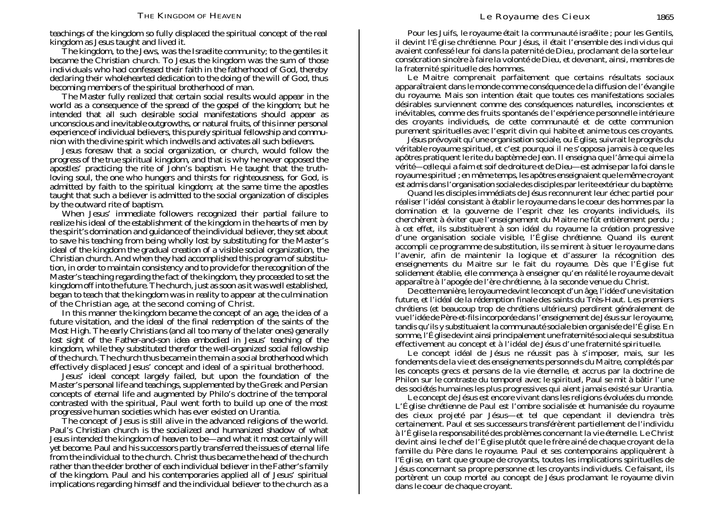teachings of the kingdom so fully displaced the spiritual concept of the real kingdom as Jesus taught and lived it.

The kingdom, to the Jews, was the Israelite *community;* to the gentiles it became the Christian *church.* To Jesus the kingdom was the sum of those *individuals* who had confessed their faith in the fatherhood of God, thereby declaring their wholehearted dedication to the doing of the will of God, thus becoming members of the spiritual brotherhood of man.

The Master fully realized that certain social results would appear in the world as a consequence of the spread of the gospel of the kingdom; but he intended that all such desirable social manifestations should appear as unconscious and inevitable outgrowths, or natural fruits, of this inner personal experience of individual believers, this purely spiritual fellowship and communion with the divine spirit which indwells and activates all such believers.

Jesus foresaw that a social organization, or church, would follow the progress of the true spiritual kingdom, and that is why he never opposed the apostles' practicing the rite of John's baptism. He taught that the truthloving soul, the one who hungers and thirsts for righteousness, for God, is admitted by faith to the spiritual kingdom; at the same time the apostles taught that such a believer is admitted to the social organization of disciples by the outward rite of baptism.

When Jesus' immediate followers recognized their partial failure to realize his ideal of the establishment of the kingdom in the hearts of men by the spirit's domination and guidance of the individual believer, they set about to save his teaching from being wholly lost by substituting for the Master's ideal of the kingdom the gradual creation of a visible social organization, the Christian church. And when they had accomplished this program of substitution, in order to maintain consistency and to provide for the recognition of the Master's teaching regarding the fact of the kingdom, they proceeded to set the kingdom off into the future. The church, just as soon as it was well established, began to teach that the kingdom was in reality to appear at the culmination of the Christian age, at the second coming of Christ.

In this manner the kingdom became the concept of an age, the idea of a future visitation, and the ideal of the final redemption of the saints of the Most High. The early Christians (and all too many of the later ones) generally lost sight of the Father-and-son idea embodied in Jesus' teaching of the kingdom, while they substituted therefor the well-organized social fellowship of the church. The church thus became in the main a *social* brotherhood which effectively displaced Jesus' concept and ideal of a *spiritual* brotherhood.

Jesus' ideal concept largely failed, but upon the foundation of the Master's personal life and teachings, supplemented by the Greek and Persian concepts of eternal life and augmented by Philo's doctrine of the temporal contrasted with the spiritual, Paul went forth to build up one of the most progressive human societies which has ever existed on Urantia.

The concept of Jesus is still alive in the advanced religions of the world. Paul's Christian church is the socialized and humanized shadow of what Jesus intended the kingdom of heaven to be—and what it most certainly will yet become. Paul and his successors partly transferred the issues of eternal life from the individual to the church. Christ thus became the head of the church rather than the elder brother of each individual believer in the Father's family of the kingdom. Paul and his contemporaries applied all of Jesus' spiritual implications regarding himself and the individual believer to the *church* as a

Pour les Juifs, le royaume était la *communauté* israélite ; pour les Gentils, il devint l*'Église* chrétienne. Pour Jésus, il était l'ensemble des *individus* qui avaient confessé leur foi dans la paternité de Dieu, proclamant de la sorte leur consécration sincère à faire la volonté de Dieu, et devenant, ainsi, membres de la fraternité spirituelle des hommes.

Le Maitre comprenait parfaitement que certains résultats sociaux apparaîtraient dans le monde comme conséquence de la diffusion de l'évangile du royaume. Mais son intention était que toutes ces manifestations sociales désirables surviennent comme des conséquences naturelles, inconscientes et inévitables, comme des fruits spontanés de l'expérience personnelle intérieure des croyants individuels, de cette communauté et de cette communion

purement spirituelles avec l'esprit divin qui habite et anime tous ces croyants. Jésus prévoyait qu'une organisation sociale, ou Église, suivrait le progrès du véritable royaume spirituel, et c'est pourquoi il ne s'opposa jamais à ce que les apôtres pratiquent le rite du baptème de Jean. Il enseigna que l'âme qui aime la vérité—celle qui a faim et soif de droiture et de Dieu—est admise par la foi dans le royaume spirituel ; en même temps, les apôtres enseignaient que le même croyant est admis dans l'organisation sociale des disciples par le rite extérieur du baptème.

Quand les disciples immédiats de Jésus reconnurent leur échec partiel pour réaliser l'idéal consistant à établir le royaume dans le coeur des hommes par la domination et la gouverne de l'esprit chez les croyants individuels, ils cherchèrent à éviter que l'enseignement du Maitre ne fût entièrement perdu ; à cet effet, ils substituèrent à son idéal du royaume la création progressive d'une organisation sociale visible, l'Église chrétienne. Quand ils eurent accompli ce programme de substitution, ils se mirent à situer le royaume dans l'avenir, afin de maintenir la logique et d'assurer la récognition des enseignements du Maitre sur le fait du royaume. Dès que l'Église fut solidement établie, elle commença à enseigner qu'en réalité le royaume devait apparaître à l'apogée de l'ère chrétienne, à la seconde venue du Christ.

De cette manière, le royaume devint le concept d'un âge, l'idée d'une visitation future, et l'idéal de la rédemption finale des saints du Très-Haut. Les premiers chrétiens (et beaucoup trop de chrétiens ultérieurs) perdirent généralement de tandis qu'ils y substituaient la communauté sociale bien organisée de l'Église. En<br>somme, l'Église devint ainsi principalement une fraternité *sociale* qui se substitua effectivement au concept et à l'idéal de Jésus d'une fraternit*é spirituelle.*

Le concept idéal de Jésus ne réussit pas à s'imposer, mais, sur les fondements de la vie et des enseignements personnels du Maitre, complétés par les concepts grecs et persans de la vie éternelle, et accrus par la doctrine de Philon sur le contraste du temporel avec le spirituel, Paul se mit à bâtir l'une des sociétés humaines les plus progressives qui aient jamais existé sur Urantia.

Le concept de Jésus est encore vivant dans les religions évoluées du monde. L'Église chrétienne de Paul est l'ombre socialisée et humanisée du royaume des cieux projeté par Jésus—et tel que cependant il deviendra très certainement. Paul et ses successeurs transférèrent partiellement de l'individu<br>à l'Église la responsabilité des problèmes concernant la vie éternelle. Le Christ<br>devint ainsi le chef de l'Église plutôt que le frère ainé de famille du Père dans le royaume. Paul et ses contemporains appliquèrent à <sup>l</sup>*'Église,* en tant que groupe de croyants, toutes les implications spirituelles de Jésus concernant sa propre personne et les croyants individuels. Ce faisant, ils portèrent un coup mortel au concept de Jésus proclamant le royaume divin dans le coeur de chaque croyant.